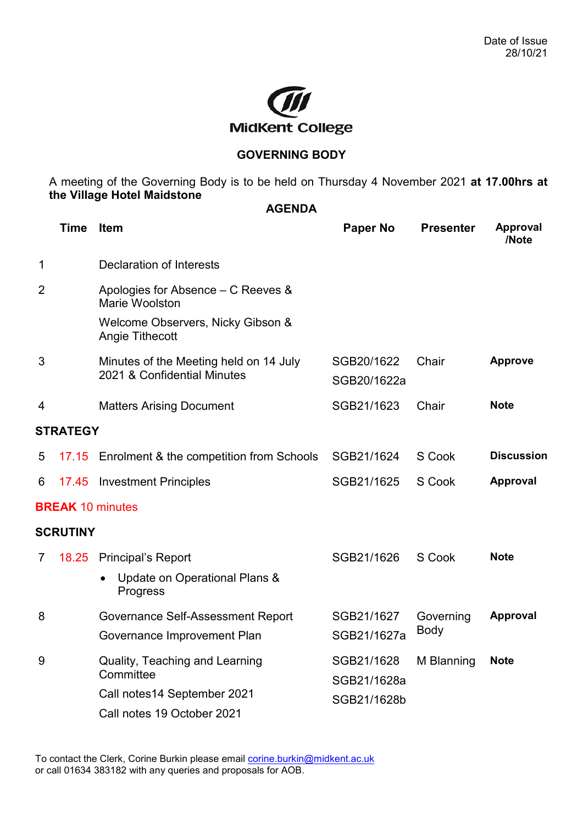

## **GOVERNING BODY**

A meeting of the Governing Body is to be held on Thursday 4 November 2021 **at 17.00hrs at the Village Hotel Maidstone AGENDA**

|                 | <b>Time</b> | Item                                                                       | <b>Paper No</b>                          | <b>Presenter</b>  | <b>Approval</b><br>/Note |  |  |
|-----------------|-------------|----------------------------------------------------------------------------|------------------------------------------|-------------------|--------------------------|--|--|
| 1               |             | <b>Declaration of Interests</b>                                            |                                          |                   |                          |  |  |
| 2               |             | Apologies for Absence – C Reeves &<br>Marie Woolston                       |                                          |                   |                          |  |  |
|                 |             | Welcome Observers, Nicky Gibson &<br>Angie Tithecott                       |                                          |                   |                          |  |  |
| 3               |             | Minutes of the Meeting held on 14 July<br>2021 & Confidential Minutes      | SGB20/1622<br>SGB20/1622a                | Chair             | <b>Approve</b>           |  |  |
| 4               |             | <b>Matters Arising Document</b>                                            | SGB21/1623                               | Chair             | <b>Note</b>              |  |  |
| <b>STRATEGY</b> |             |                                                                            |                                          |                   |                          |  |  |
| 5               | 17.15       | Enrolment & the competition from Schools                                   | SGB21/1624                               | S Cook            | <b>Discussion</b>        |  |  |
| 6               | 17.45       | <b>Investment Principles</b>                                               | SGB21/1625                               | S Cook            | Approval                 |  |  |
|                 |             | <b>BREAK 10 minutes</b>                                                    |                                          |                   |                          |  |  |
| <b>SCRUTINY</b> |             |                                                                            |                                          |                   |                          |  |  |
| $\overline{7}$  | 18.25       | <b>Principal's Report</b><br>Update on Operational Plans &<br>Progress     | SGB21/1626                               | S Cook            | <b>Note</b>              |  |  |
| 8               |             | Governance Self-Assessment Report<br>Governance Improvement Plan           | SGB21/1627<br>SGB21/1627a                | Governing<br>Body | <b>Approval</b>          |  |  |
| 9               |             | Quality, Teaching and Learning<br>Committee<br>Call notes14 September 2021 | SGB21/1628<br>SGB21/1628a<br>SGB21/1628b | M Blanning        | <b>Note</b>              |  |  |
|                 |             | Call notes 19 October 2021                                                 |                                          |                   |                          |  |  |